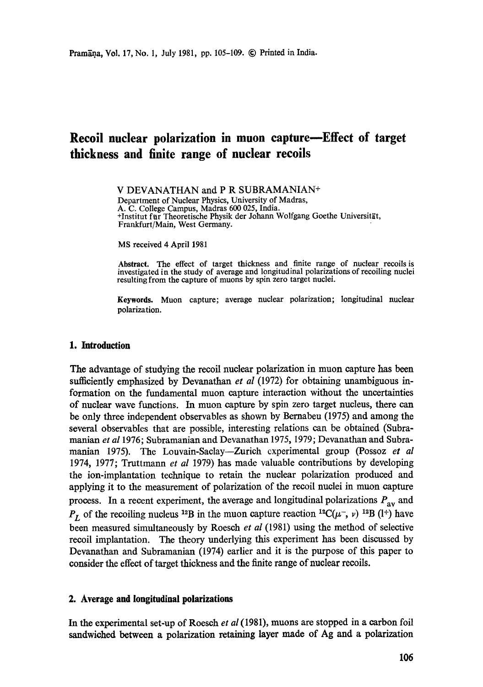# **Recoil nuclear polarization in muon capture--Effect of target thickness and finite range of nuclear recoils**

V DEVANATHAN and P R SUBRAMANIAN+ Department of Nuclear Physics, University of Madras, A. C. College Campus, Madras 600 025, India. +Institut fur Theoretische Physik der Johann Wolfgang Goethe Universität, Frankfurt/Main, West Germany.

MS received 4 April 1981

Abstract. The effect of target thickness and finite range of nuclear recoils is investigated in the study of average and longitudinal polarizations of recoiling nuclei resulting from the capture of muons by spin zero target nuclei.

**Keywords.** Muon capture; average nuclear polarization; longitudinal nuclear polarization.

## **1. Introduction**

The advantage of studying the recoil nuclear polarization in muon capture has been sutficiently emphasized by Devanathan *et al* (1972) for obtaining unambiguous information on the fundamental muon capture interaction without the uncertainties of nuclear wave functions. In muon capture by spin zero target nucleus, there can be only three independent observables as shown by Bernabeu (1975) and among the several observables that are possible, interesting relations can be obtained (Subramanian *et al* 1976; Subramanian and Devanathan 1975, 1979; Devanathan and Subramanian 1975). The Louvain-Saelay--Zurich experimental group (Possoz *et al*  1974, 1977; Truttmann *et al* 1979) has made valuable contributions by developing the ion-implantation technique to retain the nuclear polarization produced and applying it to the measurement of polarization of the recoil nuclei in muon capture process. In a recent experiment, the average and longitudinal polarizations  $P_{\text{av}}$  and  $P_L$  of the recoiling nucleus <sup>12</sup>B in the muon capture reaction <sup>12</sup>C( $\mu$ , v) <sup>12</sup>B (1<sup>+</sup>) have been measured simultaneously by Roesch *et al* (1981) using the method of selective recoil implantation. The theory underlying this experiment has been discussed by Devanathan and Subramanian (1974) earlier and it is the purpose of this paper to consider the effect of target thickness and the finite range of nuclear recoils.

## **2. Average and longitudinal polarizations**

In the experimental set-up of Roesch *et al* (1981), muons are stopped in a carbon foil sandwiched between a polarization retaining layer made of Ag and a polarization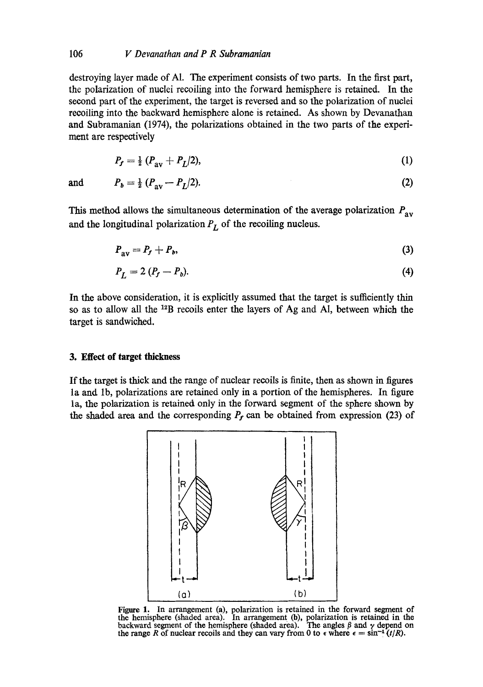# 106 *V Devanathan and P R Subramanian*

destroying layer made of A1. The experiment consists of two parts. In the first part, the polarization of nuclei recoiling into the forward hemisphere is retained. In the second part of the experiment, the target is reversed and so the polarization of nuclei recoiling into the backward hemisphere alone is retained. As shown by Devanathan and Subramanian (1974), the polarizations obtained in the two parts of the experiment are respectively

$$
P_f = \frac{1}{2} \left( P_{\rm av} + P_L / 2 \right), \tag{1}
$$

and 
$$
P_b = \frac{1}{2} (P_{av} - P_L/2).
$$
 (2)

This method allows the simultaneous determination of the average polarization  $P_{av}$ and the longitudinal polarization  $P_L$  of the recoiling nucleus.

$$
P_{\text{av}} = P_f + P_b,\tag{3}
$$

$$
P_L = 2 (P_f - P_b). \tag{4}
$$

In the above consideration, it is explicitly assumed that the target is sufficiently thin so as to allow all the 12B recoils enter the layers of Ag and AI, between which the target is sandwiched.

# **3. Effect of target thickness**

If the target is thick and the range of nuclear recoils is finite, then as shown in figures la and lb, polarizations are retained only in a portion of the hemispheres. In figure la, the polarization is retained only in the forward segment of the sphere shown by the shaded area and the corresponding  $P_f$  can be obtained from expression (23) of



Figure 1. In arrangement (a), polarization is retained in the forward segment of the hemisphere (shaded area). In arrangement (b), polarization is retained in the backward segment of the hemisphere (shaded area). The angles  $\beta$  and  $\gamma$  depend on the range R of nuclear recoils and they can vary from 0 to  $\epsilon$  where  $\epsilon = \sin^{-1}(t/R)$ .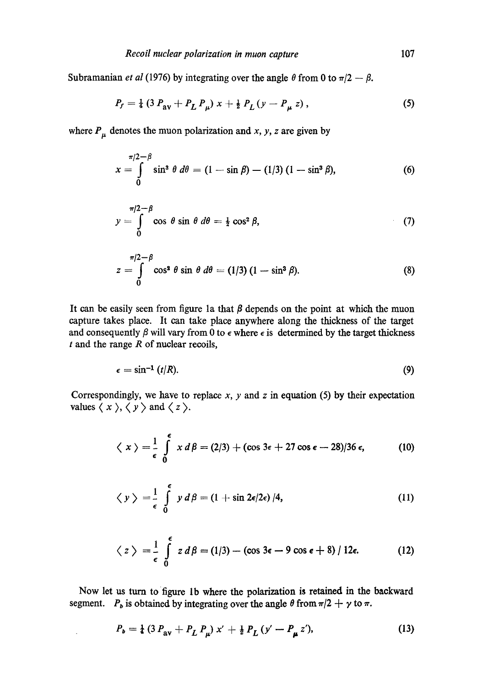Subramanian *et al* (1976) by integrating over the angle  $\theta$  from 0 to  $\pi/2 - \beta$ .

$$
P_f = \frac{1}{4} \left( 3 \, P_{\rm av} + P_L \, P_{\mu} \right) x + \frac{1}{2} \, P_L \left( y - P_{\mu} \, z \right), \tag{5}
$$

where  $P_{\mu}$  denotes the muon polarization and x, y, z are given by

$$
x = \int_{0}^{\pi/2 - \beta} \sin^3 \theta \, d\theta = (1 - \sin \beta) - (1/3) (1 - \sin^3 \beta), \tag{6}
$$

$$
y = \int_{0}^{\pi/2 - \beta} \cos \theta \sin \theta \, d\theta = \frac{1}{2} \cos^{2} \beta, \tag{7}
$$

$$
\pi/2 - \beta
$$
  
\n
$$
z = \int_{0}^{\pi/2 - \beta} \cos^2 \theta \sin \theta \, d\theta = (1/3) (1 - \sin^3 \beta).
$$
 (8)

It can be easily seen from figure 1a that  $\beta$  depends on the point at which the muon capture takes place. It can take place anywhere along the thickness of the target and consequently  $\beta$  will vary from 0 to  $\epsilon$  where  $\epsilon$  is determined by the target thickness  $t$  and the range  $R$  of nuclear recoils,

$$
\epsilon = \sin^{-1} (t/R). \tag{9}
$$

Correspondingly, we have to replace  $x$ ,  $y$  and  $z$  in equation (5) by their expectation values  $\langle x \rangle$ ,  $\langle y \rangle$  and  $\langle z \rangle$ .

$$
\langle x\rangle = \frac{1}{\epsilon} \int_{0}^{\epsilon} x d\beta = (2/3) + (\cos 3\epsilon + 27 \cos \epsilon - 28)/36 \epsilon, \tag{10}
$$

$$
\langle y \rangle = \frac{1}{\epsilon} \int_{0}^{\epsilon} y d\beta = (1 + \sin 2\epsilon/2\epsilon) / 4,
$$
 (11)

$$
\langle z \rangle = \frac{1}{\epsilon} \int_{0}^{\epsilon} z d\beta = (1/3) - (\cos 3\epsilon - 9 \cos \epsilon + 8) / 12\epsilon.
$$
 (12)

Now let us turn to figure lb where the polarization is retained in the backward segment.  $P_b$  is obtained by integrating over the angle  $\theta$  from  $\pi/2 + \gamma$  to  $\pi$ .

 $\mathcal{L}$ 

$$
P_b = \frac{1}{4} \left( 3 \, P_{\rm av} + P_L \, P_{\mu} \right) x' + \frac{1}{2} \, P_L \left( y' - P_{\mu} \, z' \right), \tag{13}
$$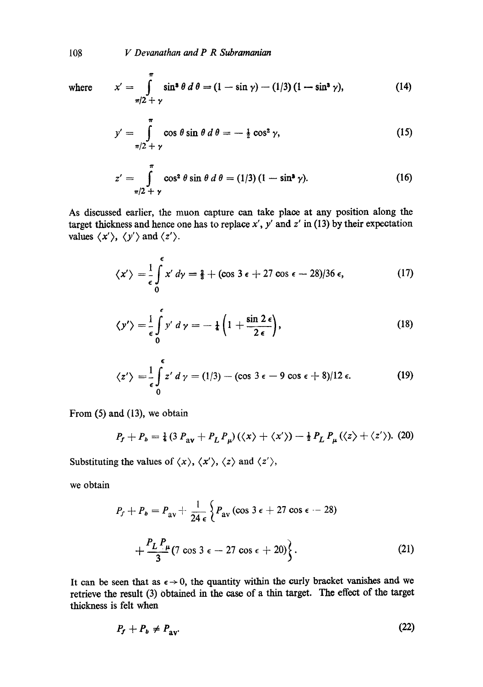108 *V Devanathan and P R Subramanian* 

where  $x' = \int \sin^3 \theta \, d\theta = (1 - \sin \gamma) - (1/3)(1 - \sin^3 \gamma)$ ~/2+y (14)

$$
y' = \int_{\pi/2 + \gamma}^{\pi} \cos \theta \sin \theta \, d\theta = -\frac{1}{2} \cos^2 \gamma,
$$
 (15)

$$
z' = \int_{\pi/2 + \gamma}^{\pi} \cos^2 \theta \sin \theta \, d\theta = (1/3) (1 - \sin^2 \gamma).
$$
 (16)

As discussed earlier, the muon capture can take place at any position along the target thickness and hence one has to replace  $x'$ ,  $y'$  and  $z'$  in (13) by their expectation values  $\langle x' \rangle$ ,  $\langle y' \rangle$  and  $\langle z' \rangle$ .

$$
\langle x' \rangle = \frac{1}{\epsilon} \int_{0}^{\epsilon} x' \, d\gamma = \frac{2}{3} + (\cos 3 \epsilon + 27 \cos \epsilon - 28)/36 \, \epsilon, \tag{17}
$$

$$
\langle y' \rangle = \frac{1}{\epsilon} \int_{0}^{\epsilon} y' \, d\,\gamma = -\frac{1}{4} \left( 1 + \frac{\sin 2 \, \epsilon}{2 \, \epsilon} \right),\tag{18}
$$

$$
\langle z' \rangle = \frac{1}{\epsilon} \int_{0}^{\epsilon} z' \, d\,\gamma = (1/3) - (\cos 3 \epsilon - 9 \cos \epsilon + 8)/12 \,\epsilon. \tag{19}
$$

From (5) and (13), we obtain

$$
P_f + P_b = \frac{1}{4} \left( 3 P_{\text{av}} + P_L P_\mu \right) \left( \langle x \rangle + \langle x' \rangle \right) - \frac{1}{2} P_L P_\mu \left( \langle z \rangle + \langle z' \rangle \right). \tag{20}
$$

Substituting the values of  $\langle x \rangle$ ,  $\langle x' \rangle$ ,  $\langle z \rangle$  and  $\langle z' \rangle$ ,

we obtain

$$
P_f + P_b = P_{av} + \frac{1}{24 \epsilon} \left\{ P_{av} (\cos 3 \epsilon + 27 \cos \epsilon - 28) + \frac{P_L P_{\mu}}{3} (7 \cos 3 \epsilon - 27 \cos \epsilon + 20) \right\}.
$$
 (21)

It can be seen that as  $\epsilon \rightarrow 0$ , the quantity within the curly bracket vanishes and we retrieve the result (3) Obtained in the ease of a thin target. The effect of the target thickness is felt when

$$
P_f + P_b \neq P_{\rm av}.\tag{22}
$$